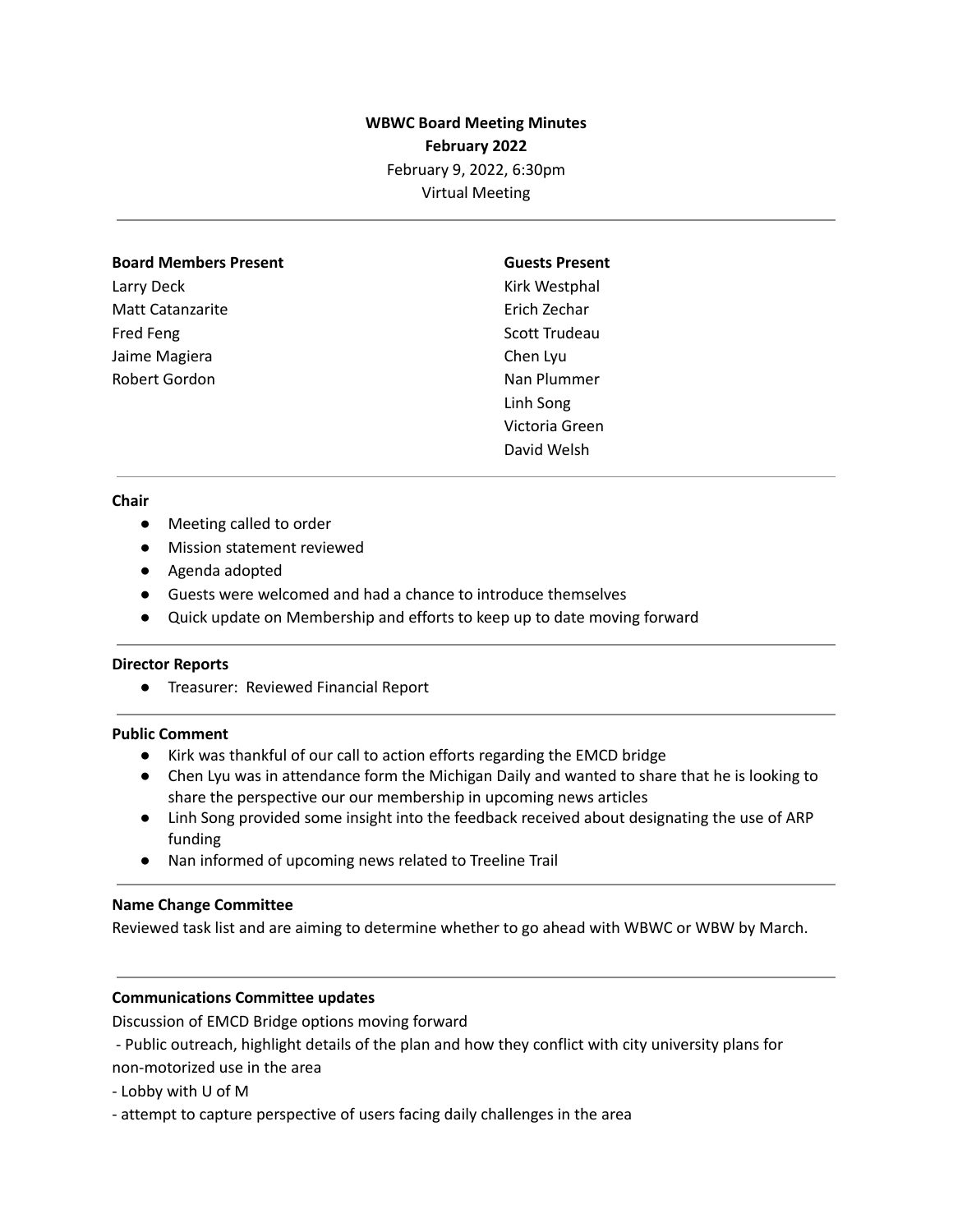## **WBWC Board Meeting Minutes February 2022** February 9, 2022, 6:30pm Virtual Meeting

#### **Board Members Present**

Larry Deck Matt Catanzarite Fred Feng Jaime Magiera Robert Gordon

# **Guests Present**

Kirk Westphal Erich Zechar Scott Trudeau Chen Lyu Nan Plummer Linh Song Victoria Green David Welsh

#### **Chair**

- Meeting called to order
- Mission statement reviewed
- Agenda adopted
- Guests were welcomed and had a chance to introduce themselves
- Quick update on Membership and efforts to keep up to date moving forward

#### **Director Reports**

● Treasurer: Reviewed Financial Report

#### **Public Comment**

- Kirk was thankful of our call to action efforts regarding the EMCD bridge
- Chen Lyu was in attendance form the Michigan Daily and wanted to share that he is looking to share the perspective our our membership in upcoming news articles
- Linh Song provided some insight into the feedback received about designating the use of ARP funding
- Nan informed of upcoming news related to Treeline Trail

#### **Name Change Committee**

Reviewed task list and are aiming to determine whether to go ahead with WBWC or WBW by March.

#### **Communications Committee updates**

Discussion of EMCD Bridge options moving forward

- Public outreach, highlight details of the plan and how they conflict with city university plans for non-motorized use in the area

- Lobby with U of M

- attempt to capture perspective of users facing daily challenges in the area